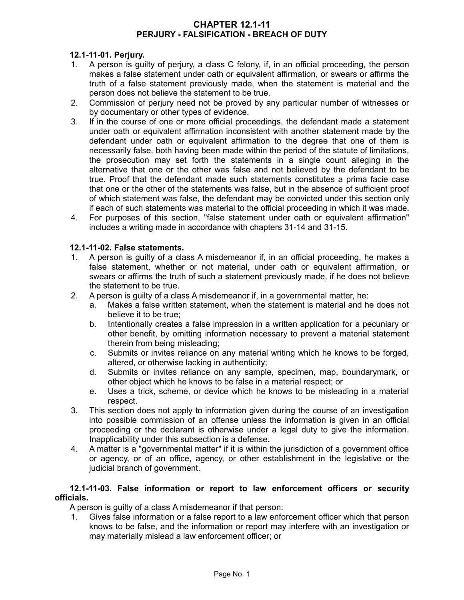### **CHAPTER 12.1-11 PERJURY - FALSIFICATION - BREACH OF DUTY**

## **12.1-11-01. Perjury.**

- 1. A person is guilty of perjury, a class C felony, if, in an official proceeding, the person makes a false statement under oath or equivalent affirmation, or swears or affirms the truth of a false statement previously made, when the statement is material and the person does not believe the statement to be true.
- 2. Commission of perjury need not be proved by any particular number of witnesses or by documentary or other types of evidence.
- 3. If in the course of one or more official proceedings, the defendant made a statement under oath or equivalent affirmation inconsistent with another statement made by the defendant under oath or equivalent affirmation to the degree that one of them is necessarily false, both having been made within the period of the statute of limitations, the prosecution may set forth the statements in a single count alleging in the alternative that one or the other was false and not believed by the defendant to be true. Proof that the defendant made such statements constitutes a prima facie case that one or the other of the statements was false, but in the absence of sufficient proof of which statement was false, the defendant may be convicted under this section only if each of such statements was material to the official proceeding in which it was made.
- 4. For purposes of this section, "false statement under oath or equivalent affirmation" includes a writing made in accordance with chapters 31-14 and 31-15.

### **12.1-11-02. False statements.**

- 1. A person is guilty of a class A misdemeanor if, in an official proceeding, he makes a false statement, whether or not material, under oath or equivalent affirmation, or swears or affirms the truth of such a statement previously made, if he does not believe the statement to be true.
- 2. A person is guilty of a class A misdemeanor if, in a governmental matter, he:
	- a. Makes a false written statement, when the statement is material and he does not believe it to be true;
	- b. Intentionally creates a false impression in a written application for a pecuniary or other benefit, by omitting information necessary to prevent a material statement therein from being misleading;
	- c. Submits or invites reliance on any material writing which he knows to be forged, altered, or otherwise lacking in authenticity;
	- d. Submits or invites reliance on any sample, specimen, map, boundarymark, or other object which he knows to be false in a material respect; or
	- e. Uses a trick, scheme, or device which he knows to be misleading in a material respect.
- 3. This section does not apply to information given during the course of an investigation into possible commission of an offense unless the information is given in an official proceeding or the declarant is otherwise under a legal duty to give the information. Inapplicability under this subsection is a defense.
- 4. A matter is a "governmental matter" if it is within the jurisdiction of a government office or agency, or of an office, agency, or other establishment in the legislative or the judicial branch of government.

### **12.1-11-03. False information or report to law enforcement officers or security officials.**

A person is guilty of a class A misdemeanor if that person:

1. Gives false information or a false report to a law enforcement officer which that person knows to be false, and the information or report may interfere with an investigation or may materially mislead a law enforcement officer; or